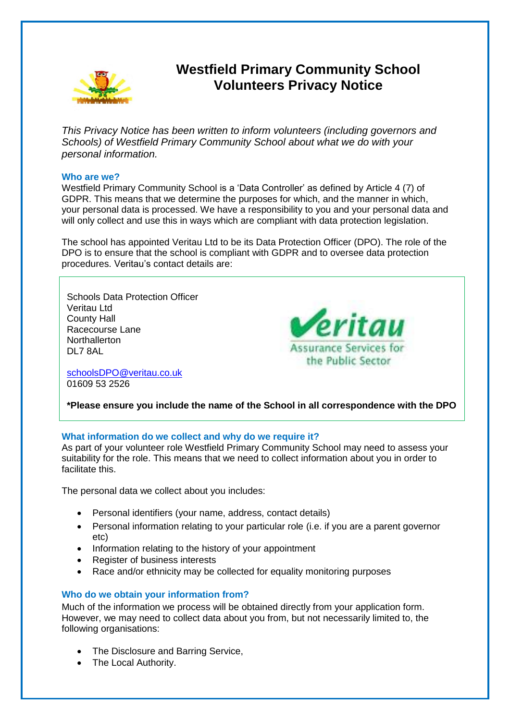

# **Westfield Primary Community School Volunteers Privacy Notice**

*This Privacy Notice has been written to inform volunteers (including governors and Schools) of Westfield Primary Community School about what we do with your personal information.* 

#### **Who are we?**

Westfield Primary Community School is a 'Data Controller' as defined by Article 4 (7) of GDPR. This means that we determine the purposes for which, and the manner in which, your personal data is processed. We have a responsibility to you and your personal data and will only collect and use this in ways which are compliant with data protection legislation.

The school has appointed Veritau Ltd to be its Data Protection Officer (DPO). The role of the DPO is to ensure that the school is compliant with GDPR and to oversee data protection procedures. Veritau's contact details are:

Schools Data Protection Officer Veritau Ltd County Hall Racecourse Lane **Northallerton** DL7 8AL



[schoolsDPO@veritau.co.uk](mailto:schoolsDPO@veritau.co.uk) 01609 53 2526

**\*Please ensure you include the name of the School in all correspondence with the DPO** 

## **What information do we collect and why do we require it?**

As part of your volunteer role Westfield Primary Community School may need to assess your suitability for the role. This means that we need to collect information about you in order to facilitate this.

The personal data we collect about you includes:

- Personal identifiers (your name, address, contact details)
- Personal information relating to your particular role (i.e. if you are a parent governor etc)
- Information relating to the history of your appointment
- Register of business interests
- Race and/or ethnicity may be collected for equality monitoring purposes

## **Who do we obtain your information from?**

Much of the information we process will be obtained directly from your application form. However, we may need to collect data about you from, but not necessarily limited to, the following organisations:

- The Disclosure and Barring Service,
- The Local Authority.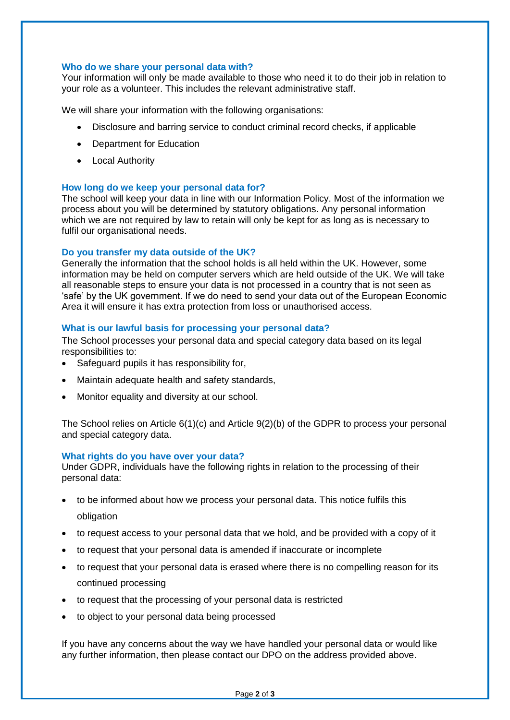## **Who do we share your personal data with?**

Your information will only be made available to those who need it to do their job in relation to your role as a volunteer. This includes the relevant administrative staff.

We will share your information with the following organisations:

- Disclosure and barring service to conduct criminal record checks, if applicable
- Department for Education
- Local Authority

## **How long do we keep your personal data for?**

The school will keep your data in line with our Information Policy. Most of the information we process about you will be determined by statutory obligations. Any personal information which we are not required by law to retain will only be kept for as long as is necessary to fulfil our organisational needs.

## **Do you transfer my data outside of the UK?**

Generally the information that the school holds is all held within the UK. However, some information may be held on computer servers which are held outside of the UK. We will take all reasonable steps to ensure your data is not processed in a country that is not seen as 'safe' by the UK government. If we do need to send your data out of the European Economic Area it will ensure it has extra protection from loss or unauthorised access.

## **What is our lawful basis for processing your personal data?**

The School processes your personal data and special category data based on its legal responsibilities to:

- Safeguard pupils it has responsibility for,
- Maintain adequate health and safety standards,
- Monitor equality and diversity at our school.

The School relies on Article 6(1)(c) and Article 9(2)(b) of the GDPR to process your personal and special category data.

#### **What rights do you have over your data?**

Under GDPR, individuals have the following rights in relation to the processing of their personal data:

- to be informed about how we process your personal data. This notice fulfils this obligation
- to request access to your personal data that we hold, and be provided with a copy of it
- to request that your personal data is amended if inaccurate or incomplete
- to request that your personal data is erased where there is no compelling reason for its continued processing
- to request that the processing of your personal data is restricted
- to object to your personal data being processed

If you have any concerns about the way we have handled your personal data or would like any further information, then please contact our DPO on the address provided above.